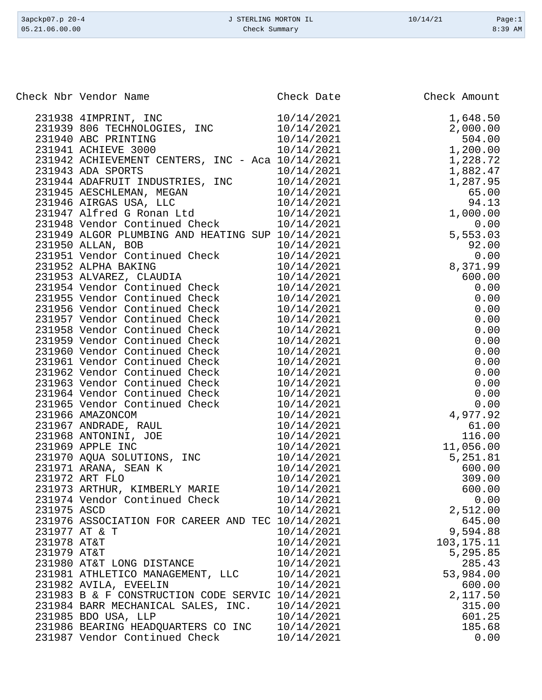| 3apckp07.p 20-4 | J STERLING MORTON IL | 10/14/21 | Page:1    |
|-----------------|----------------------|----------|-----------|
| 05.21.06.00.00  | Check Summary        |          | $8:39$ AM |

|             | Check Nbr Vendor Name                                                                                                                                                                              | $\begin{array}{r} \n 10/14/2021 \\  10/14/2021 \\  10/14/2021 \\  10/14/2021 \\  10/2021\n \end{array}$ | Check Amount |
|-------------|----------------------------------------------------------------------------------------------------------------------------------------------------------------------------------------------------|---------------------------------------------------------------------------------------------------------|--------------|
|             | 231938 4IMPRINT, INC                                                                                                                                                                               |                                                                                                         | 1,648.50     |
|             | 231939 806 TECHNOLOGIES, INC                                                                                                                                                                       |                                                                                                         | 2,000.00     |
|             | 231940 ABC PRINTING                                                                                                                                                                                |                                                                                                         | 504.00       |
|             | 231941 ACHIEVE 3000                                                                                                                                                                                |                                                                                                         | 1,200.00     |
|             | 231942 ACHIEVEMENT CENTERS, INC - Aca 10/14/2021                                                                                                                                                   |                                                                                                         | 1,228.72     |
|             | 231943 ADA SPORTS                                                                                                                                                                                  | 10/14/2021                                                                                              | 1,882.47     |
|             |                                                                                                                                                                                                    |                                                                                                         | 1,287.95     |
|             |                                                                                                                                                                                                    |                                                                                                         | 65.00        |
|             | 231944 ADAFRUIT INDUSTRIES, INC<br>231945 AESCHLEMAN, MEGAN<br>231946 AIRGAS USA, LLC<br>231947 Alfred G Ronan Ltd<br>231948 Vendor Continued Check<br>231948 Vendor Continued Check<br>20/14/2021 |                                                                                                         | 94.13        |
|             |                                                                                                                                                                                                    |                                                                                                         | 1,000.00     |
|             |                                                                                                                                                                                                    |                                                                                                         | 0.00         |
|             | 231949 ALGOR PLUMBING AND HEATING SUP 10/14/2021                                                                                                                                                   |                                                                                                         | 5,553.03     |
|             | 231950 ALLAN, BOB                                                                                                                                                                                  | 10/14/2021                                                                                              | 92.00        |
|             |                                                                                                                                                                                                    | 10/14/2021                                                                                              | 0.00         |
|             |                                                                                                                                                                                                    | 10/14/2021                                                                                              | 8,371.99     |
|             |                                                                                                                                                                                                    | 10/14/2021                                                                                              | 600.00       |
|             | 231950 Annan, Bob<br>231951 Vendor Continued Check<br>231952 ALPHA BAKING<br>231953 ALVAREZ, CLAUDIA<br>231954 Vendor Continued Check                                                              | 10/14/2021                                                                                              | 0.00         |
|             | 231955 Vendor Continued Check                                                                                                                                                                      | 10/14/2021                                                                                              | 0.00         |
|             | 231956 Vendor Continued Check                                                                                                                                                                      | 10/14/2021                                                                                              | 0.00         |
|             | 231957 Vendor Continued Check                                                                                                                                                                      | 10/14/2021                                                                                              | 0.00         |
|             | 231958 Vendor Continued Check                                                                                                                                                                      | 10/14/2021                                                                                              | 0.00         |
|             | 231959 Vendor Continued Check                                                                                                                                                                      | 10/14/2021                                                                                              | 0.00         |
|             | 231960 Vendor Continued Check                                                                                                                                                                      | 10/14/2021                                                                                              | 0.00         |
|             | 231961 Vendor Continued Check                                                                                                                                                                      | 10/14/2021                                                                                              | 0.00         |
|             | 231962 Vendor Continued Check                                                                                                                                                                      | 10/14/2021                                                                                              | 0.00         |
|             |                                                                                                                                                                                                    | 10/14/2021                                                                                              | 0.00         |
|             | 231963 Vendor Continued Check                                                                                                                                                                      | 10/14/2021                                                                                              | 0.00         |
|             | 231964 Vendor Continued Check                                                                                                                                                                      | 10/14/2021                                                                                              | 0.00         |
|             | 231965 Vendor Continued Check<br>231966 AMAZONCOM                                                                                                                                                  | 10/14/2021                                                                                              | 4,977.92     |
|             | 231967 ANDRADE, RAUL                                                                                                                                                                               | 10/14/2021                                                                                              | 61.00        |
|             | 231968 ANTONINI, JOE                                                                                                                                                                               | 10/14/2021                                                                                              | 116.00       |
|             | 231969 APPLE INC                                                                                                                                                                                   | 10/14/2021                                                                                              | 11,056.00    |
|             |                                                                                                                                                                                                    | 10/14/2021                                                                                              | 5,251.81     |
|             | 231970 AQUA SOLUTIONS, INC<br>231971 ARANA, SEAN K                                                                                                                                                 | 10/14/2021                                                                                              | 600.00       |
|             | 231972 ART FLO                                                                                                                                                                                     | 10/14/2021                                                                                              | 309.00       |
|             | 231973 ARTHUR, KIMBERLY MARIE                                                                                                                                                                      | 10/14/2021                                                                                              | 600.00       |
|             | 231974 Vendor Continued Check                                                                                                                                                                      | 10/14/2021                                                                                              | 0.00         |
| 231975 ASCD |                                                                                                                                                                                                    | 10/14/2021                                                                                              | 2,512.00     |
|             | 231976 ASSOCIATION FOR CAREER AND TEC 10/14/2021                                                                                                                                                   |                                                                                                         | 645.00       |
|             | 231977 AT & T                                                                                                                                                                                      | 10/14/2021                                                                                              | 9,594.88     |
| 231978 AT&T |                                                                                                                                                                                                    | 10/14/2021                                                                                              | 103, 175. 11 |
| 231979 AT&T |                                                                                                                                                                                                    | 10/14/2021                                                                                              | 5,295.85     |
|             | 231980 AT&T LONG DISTANCE                                                                                                                                                                          | 10/14/2021                                                                                              | 285.43       |
|             | 231981 ATHLETICO MANAGEMENT, LLC                                                                                                                                                                   | 10/14/2021                                                                                              | 53,984.00    |
|             | 231982 AVILA, EVEELIN                                                                                                                                                                              | 10/14/2021                                                                                              | 600.00       |
|             | 231983 B & F CONSTRUCTION CODE SERVIC 10/14/2021                                                                                                                                                   |                                                                                                         | 2,117.50     |
|             | 231984 BARR MECHANICAL SALES, INC.                                                                                                                                                                 | 10/14/2021                                                                                              | 315.00       |
|             | 231985 BDO USA, LLP                                                                                                                                                                                | 10/14/2021                                                                                              | 601.25       |
|             | 231986 BEARING HEADQUARTERS CO INC                                                                                                                                                                 | 10/14/2021                                                                                              | 185.68       |
|             | 231987 Vendor Continued Check                                                                                                                                                                      | 10/14/2021                                                                                              | 0.00         |
|             |                                                                                                                                                                                                    |                                                                                                         |              |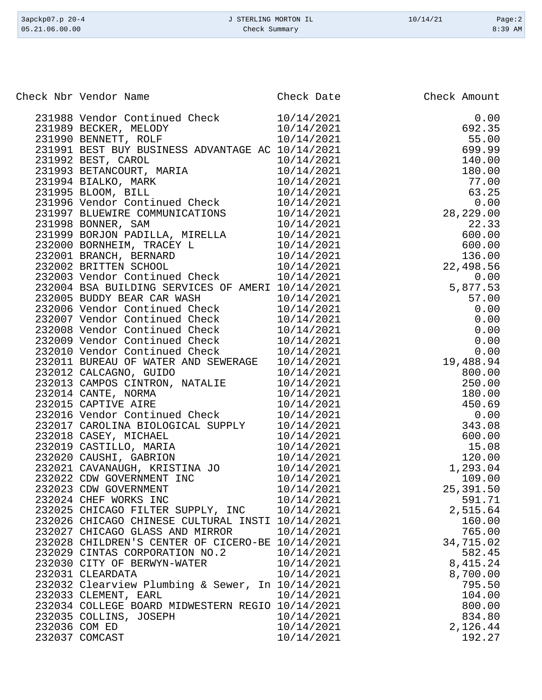| 3apckp07.p 20-4<br>05.21.06.00.00                                    | J STERLING MORTON IL<br>Check Summary | 10/14/21<br>Page:2<br>8:39 AM                                                                                                                                                                                                                                                                                                                                                         |
|----------------------------------------------------------------------|---------------------------------------|---------------------------------------------------------------------------------------------------------------------------------------------------------------------------------------------------------------------------------------------------------------------------------------------------------------------------------------------------------------------------------------|
|                                                                      |                                       |                                                                                                                                                                                                                                                                                                                                                                                       |
| Check Nbr Vendor Name                                                | Check Date                            | Check Amount                                                                                                                                                                                                                                                                                                                                                                          |
| 231988 Vendor Continued Check                                        | 10/14/2021                            | 0.00                                                                                                                                                                                                                                                                                                                                                                                  |
| 231989 BECKER, MELODY                                                | 10/14/2021                            | 692.35                                                                                                                                                                                                                                                                                                                                                                                |
| 231990 BENNETT, ROLF                                                 | 10/14/2021                            | 55.00                                                                                                                                                                                                                                                                                                                                                                                 |
| 231991 BEST BUY BUSINESS ADVANTAGE AC 10/14/2021                     |                                       | 699.99                                                                                                                                                                                                                                                                                                                                                                                |
| 231992 BEST, CAROL                                                   | 10/14/2021                            | 140.00                                                                                                                                                                                                                                                                                                                                                                                |
| 231993 BETANCOURT, MARIA                                             | 10/14/2021                            | 180.00                                                                                                                                                                                                                                                                                                                                                                                |
| 231994 BIALKO, MARK                                                  | 10/14/2021                            | 77.00                                                                                                                                                                                                                                                                                                                                                                                 |
| 231995 BLOOM, BILL                                                   | 10/14/2021                            | 63.25                                                                                                                                                                                                                                                                                                                                                                                 |
| 231996 Vendor Continued Check                                        | 10/14/2021                            | 0.00                                                                                                                                                                                                                                                                                                                                                                                  |
| 231997 BLUEWIRE COMMUNICATIONS                                       | 10/14/2021                            | 28, 229.00                                                                                                                                                                                                                                                                                                                                                                            |
| 231998 BONNER, SAM                                                   | 10/14/2021                            | 22.33                                                                                                                                                                                                                                                                                                                                                                                 |
| 231999 BORJON PADILLA, MIRELLA                                       | 10/14/2021                            | 600.00                                                                                                                                                                                                                                                                                                                                                                                |
| 232000 BORNHEIM, TRACEY L                                            | 10/14/2021                            | 600.00                                                                                                                                                                                                                                                                                                                                                                                |
| 232001 BRANCH, BERNARD                                               | 10/14/2021                            | 136.00                                                                                                                                                                                                                                                                                                                                                                                |
| 232002 BRITTEN SCHOOL                                                | 10/14/2021                            | 22,498.56                                                                                                                                                                                                                                                                                                                                                                             |
| 232003 Vendor Continued Check                                        | 10/14/2021                            | 0.00                                                                                                                                                                                                                                                                                                                                                                                  |
| 232004 BSA BUILDING SERVICES OF AMERI 10/14/2021                     |                                       | 5,877.53                                                                                                                                                                                                                                                                                                                                                                              |
| 232005 BUDDY BEAR CAR WASH                                           | 10/14/2021                            | 57.00                                                                                                                                                                                                                                                                                                                                                                                 |
| 232006 Vendor Continued Check                                        | 10/14/2021                            | 0.00                                                                                                                                                                                                                                                                                                                                                                                  |
| 232007 Vendor Continued Check                                        | 10/14/2021                            | 0.00                                                                                                                                                                                                                                                                                                                                                                                  |
| 232008 Vendor Continued Check                                        | 10/14/2021                            | 0.00                                                                                                                                                                                                                                                                                                                                                                                  |
| 232009 Vendor Continued Check                                        | 10/14/2021                            | 0.00                                                                                                                                                                                                                                                                                                                                                                                  |
| 232010 Vendor Continued Check<br>232011 BUREAU OF WATER AND SEWERAGE | 10/14/2021                            | 0.00<br>19,488.94                                                                                                                                                                                                                                                                                                                                                                     |
| 232012 CALCAGNO, GUIDO                                               | 10/14/2021<br>10/14/2021              | 800.00                                                                                                                                                                                                                                                                                                                                                                                |
| 232013 CAMPOS CINTRON, NATALIE                                       | 10/14/2021                            | 250.00                                                                                                                                                                                                                                                                                                                                                                                |
| 232014 CANTE, NORMA                                                  | 10/14/2021                            | 180.00                                                                                                                                                                                                                                                                                                                                                                                |
| 232015 CAPTIVE AIRE                                                  | 10/14/2021                            | 450.69                                                                                                                                                                                                                                                                                                                                                                                |
| 232016 Vendor Continued Check                                        | 10/14/2021                            | 0.00                                                                                                                                                                                                                                                                                                                                                                                  |
| 232017 CAROLINA BIOLOGICAL SUPPLY                                    | 10/14/2021                            | 343.08                                                                                                                                                                                                                                                                                                                                                                                |
| 232018 CASEY, MICHAEL                                                | 10/14/2021                            | 600.00                                                                                                                                                                                                                                                                                                                                                                                |
| 232019 CASTILLO, MARIA                                               | 10/14/2021                            | 15.08                                                                                                                                                                                                                                                                                                                                                                                 |
| $0.20000$ $0.777777$                                                 | $1011110001$                          | $\begin{array}{c} \n\text{1.00} \\ \text{2.01} \\ \text{3.02} \\ \text{4.03} \\ \text{5.03} \\ \text{6.03} \\ \text{7.03} \\ \text{8.03} \\ \text{9.03} \\ \text{1.03} \\ \text{1.03} \\ \text{1.03} \\ \text{1.03} \\ \text{1.03} \\ \text{1.03} \\ \text{1.03} \\ \text{1.03} \\ \text{1.03} \\ \text{1.03} \\ \text{1.03} \\ \text{1.03} \\ \text{1.03} \\ \text{1.03} \\ \text{1$ |

|  | 232017 CAROLINA BIOLOGICAL SUPPLY 10/14/2021                          |                     | 343.08    |
|--|-----------------------------------------------------------------------|---------------------|-----------|
|  | 232018 CASEY, MICHAEL 10/14/2021<br>232019 CASTILLO, MARIA 10/14/2021 | $600.00$<br>$15.08$ |           |
|  |                                                                       |                     |           |
|  | 232020 CAUSHI, GABRION 10/14/2021 120.00                              |                     |           |
|  | 232021 CAVANAUGH, KRISTINA JO 10/14/2021                              |                     | 1,293.04  |
|  | 232022 CDW GOVERNMENT INC                                             | 10/14/2021          | 109.00    |
|  | 232023 CDW GOVERNMENT                                                 | 10/14/2021          | 25,391.50 |
|  | 232024 CHEF WORKS INC 10/14/2021                                      |                     | 591.71    |
|  | 232025 CHICAGO FILTER SUPPLY, INC 10/14/2021                          |                     | 2,515.64  |
|  | 232026 CHICAGO CHINESE CULTURAL INSTI 10/14/2021                      |                     | 160.00    |
|  | 232027 CHICAGO GLASS AND MIRROR 10/14/2021                            |                     | 765.00    |
|  | 232028 CHILDREN'S CENTER OF CICERO-BE 10/14/2021                      |                     | 34,715.02 |
|  | 232029 CINTAS CORPORATION NO.2 10/14/2021 582.45                      |                     |           |
|  | 232030 CITY OF BERWYN-WATER 10/14/2021                                |                     | 8,415.24  |
|  | 10/14/2021<br>232031 CLEARDATA                                        |                     | 8,700.00  |
|  | 232032 Clearview Plumbing & Sewer, In 10/14/2021                      |                     | 795.50    |
|  | 10/14/2021<br>232033 CLEMENT, EARL                                    |                     | 104.00    |
|  | 232034 COLLEGE BOARD MIDWESTERN REGIO 10/14/2021                      |                     | 800.00    |
|  | 232035 COLLINS, JOSEPH 10/14/2021                                     |                     | 834.80    |
|  | 232036 COM ED                                                         | 10/14/2021          | 2,126.44  |
|  | 232037 COMCAST                                                        | 10/14/2021          | 192.27    |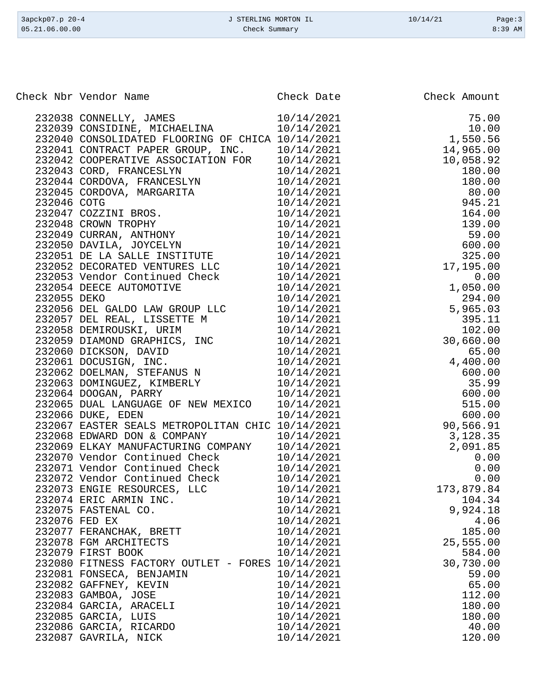| 3apckp07.p 20-4 | J STERLING MORTON IL | 10/14/21 | Page:3    |
|-----------------|----------------------|----------|-----------|
| 05.21.06.00.00  | Check Summary        |          | $8:39$ AM |
|                 |                      |          |           |

| Check Nbr Vendor Name                                                                                                                                                                                                                      |                          | Check Date Check Amount                                                                                                                                                                                                                                                           |
|--------------------------------------------------------------------------------------------------------------------------------------------------------------------------------------------------------------------------------------------|--------------------------|-----------------------------------------------------------------------------------------------------------------------------------------------------------------------------------------------------------------------------------------------------------------------------------|
| 232038 CONNELLY, JAMES<br>232039 CONSIDINE, MICHAELINA                                                                                                                                                                                     | 10/14/2021<br>10/14/2021 | Check Amount<br>75.00<br>10.00<br>1550.56<br>14,965.92<br>10,058.92<br>180.00<br>180.00<br>180.00<br>180.00<br>180.00<br>80.00<br>945.21<br>164.00<br>164.00<br>199.00<br>59.00<br>600.00<br>17,195.00<br>0.00<br>1994.00<br>59.00<br>17,195.00<br>0.00<br>59.00<br>17,195.00<br> |
| 232040 CONSOLIDATED FLOORING OF CHICA 10/14/2021                                                                                                                                                                                           |                          |                                                                                                                                                                                                                                                                                   |
| 232041 CONTRACT PAPER GROUP, INC. 10/14/2021                                                                                                                                                                                               |                          |                                                                                                                                                                                                                                                                                   |
| 232042 COOPERATIVE ASSOCIATION FOR 10/14/2021                                                                                                                                                                                              |                          |                                                                                                                                                                                                                                                                                   |
|                                                                                                                                                                                                                                            |                          |                                                                                                                                                                                                                                                                                   |
|                                                                                                                                                                                                                                            |                          |                                                                                                                                                                                                                                                                                   |
| 232042 COOPERATIVE ASSOCIATION FOR 10/14/2021<br>232043 CORD, FRANCESLYN 10/14/2021<br>232044 CORDOVA, FRANCESLYN 10/14/2021<br>232045 CORDOVA, MARGARITA 10/14/2021<br>232046 COTG 10/14/2021<br>232047 COZZINI BROS. 10/14/2021<br>23204 |                          |                                                                                                                                                                                                                                                                                   |
|                                                                                                                                                                                                                                            |                          |                                                                                                                                                                                                                                                                                   |
|                                                                                                                                                                                                                                            |                          |                                                                                                                                                                                                                                                                                   |
|                                                                                                                                                                                                                                            |                          |                                                                                                                                                                                                                                                                                   |
|                                                                                                                                                                                                                                            |                          |                                                                                                                                                                                                                                                                                   |
|                                                                                                                                                                                                                                            |                          |                                                                                                                                                                                                                                                                                   |
|                                                                                                                                                                                                                                            |                          |                                                                                                                                                                                                                                                                                   |
| 232052 DECORATED VENTURES LLC                                                                                                                                                                                                              | 10/14/2021               |                                                                                                                                                                                                                                                                                   |
|                                                                                                                                                                                                                                            | 10/14/2021               |                                                                                                                                                                                                                                                                                   |
| 232053 Vendor Continued Check<br>232054 DEECE AUTOMOTIVE<br>232055 DEKO                                                                                                                                                                    | 10/14/2021               |                                                                                                                                                                                                                                                                                   |
|                                                                                                                                                                                                                                            | 10/14/2021               |                                                                                                                                                                                                                                                                                   |
|                                                                                                                                                                                                                                            |                          |                                                                                                                                                                                                                                                                                   |
|                                                                                                                                                                                                                                            |                          |                                                                                                                                                                                                                                                                                   |
|                                                                                                                                                                                                                                            |                          |                                                                                                                                                                                                                                                                                   |
|                                                                                                                                                                                                                                            |                          |                                                                                                                                                                                                                                                                                   |
|                                                                                                                                                                                                                                            |                          |                                                                                                                                                                                                                                                                                   |
|                                                                                                                                                                                                                                            |                          |                                                                                                                                                                                                                                                                                   |
|                                                                                                                                                                                                                                            |                          |                                                                                                                                                                                                                                                                                   |
| 10/14/2021<br>232055 DEL GALDO LAW GROUP LLC 10/14/2021<br>232057 DEL REAL, LISSETTE M 10/14/2021<br>232058 DEMIROUSKI, URIM 10/14/2021<br>232059 DIAMOND GRAPHICS, INC 10/14/2021<br>232060 DICKSON, DAVID 10/14/2021<br>232061 DOCUSIGN, |                          |                                                                                                                                                                                                                                                                                   |
| 232065 DUAL LANGUAGE OF NEW MEXICO                                                                                                                                                                                                         | 10/14/2021               |                                                                                                                                                                                                                                                                                   |
| 232066 DUKE, EDEN                                                                                                                                                                                                                          | 10/14/2021               |                                                                                                                                                                                                                                                                                   |
| 232067 EASTER SEALS METROPOLITAN CHIC 10/14/2021                                                                                                                                                                                           |                          |                                                                                                                                                                                                                                                                                   |
| 232068 EDWARD DON & COMPANY 10/14/2021                                                                                                                                                                                                     |                          |                                                                                                                                                                                                                                                                                   |
| 232069 ELKAY MANUFACTURING COMPANY 10/14/2021                                                                                                                                                                                              |                          |                                                                                                                                                                                                                                                                                   |
| 232070 Vendor Continued Check<br>232071 Vendor Continued Check<br>232071 Vendor Continued Check<br>20/14/2021                                                                                                                              |                          |                                                                                                                                                                                                                                                                                   |
|                                                                                                                                                                                                                                            |                          |                                                                                                                                                                                                                                                                                   |
| 232072 Vendor Continued Check 10/14/2021                                                                                                                                                                                                   |                          |                                                                                                                                                                                                                                                                                   |
| 232073 ENGIE RESOURCES, LLC                                                                                                                                                                                                                | 10/14/2021               | 173,879.84                                                                                                                                                                                                                                                                        |
| 232074 ERIC ARMIN INC.                                                                                                                                                                                                                     | 10/14/2021               | 104.34                                                                                                                                                                                                                                                                            |
| 232075 FASTENAL CO.                                                                                                                                                                                                                        | 10/14/2021               | 9,924.18                                                                                                                                                                                                                                                                          |
| 232076 FED EX                                                                                                                                                                                                                              | 10/14/2021               | 4.06                                                                                                                                                                                                                                                                              |
| 232077 FERANCHAK, BRETT                                                                                                                                                                                                                    | 10/14/2021               | 185.00                                                                                                                                                                                                                                                                            |
| 232078 FGM ARCHITECTS                                                                                                                                                                                                                      | 10/14/2021               | 25,555.00                                                                                                                                                                                                                                                                         |
| 232079 FIRST BOOK                                                                                                                                                                                                                          | 10/14/2021               | 584.00                                                                                                                                                                                                                                                                            |
| 232080 FITNESS FACTORY OUTLET - FORES 10/14/2021                                                                                                                                                                                           |                          | 30,730.00                                                                                                                                                                                                                                                                         |
| 232081 FONSECA, BENJAMIN                                                                                                                                                                                                                   | 10/14/2021               | 59.00                                                                                                                                                                                                                                                                             |
| 232082 GAFFNEY, KEVIN<br>232083 GAMBOA, JOSE                                                                                                                                                                                               | 10/14/2021<br>10/14/2021 | 65.00<br>112.00                                                                                                                                                                                                                                                                   |
| 232084 GARCIA, ARACELI                                                                                                                                                                                                                     | 10/14/2021               | 180.00                                                                                                                                                                                                                                                                            |
| 232085 GARCIA, LUIS                                                                                                                                                                                                                        | 10/14/2021               | 180.00                                                                                                                                                                                                                                                                            |
| 232086 GARCIA, RICARDO                                                                                                                                                                                                                     | 10/14/2021               | 40.00                                                                                                                                                                                                                                                                             |
| 232087 GAVRILA, NICK                                                                                                                                                                                                                       | 10/14/2021               | 120.00                                                                                                                                                                                                                                                                            |
|                                                                                                                                                                                                                                            |                          |                                                                                                                                                                                                                                                                                   |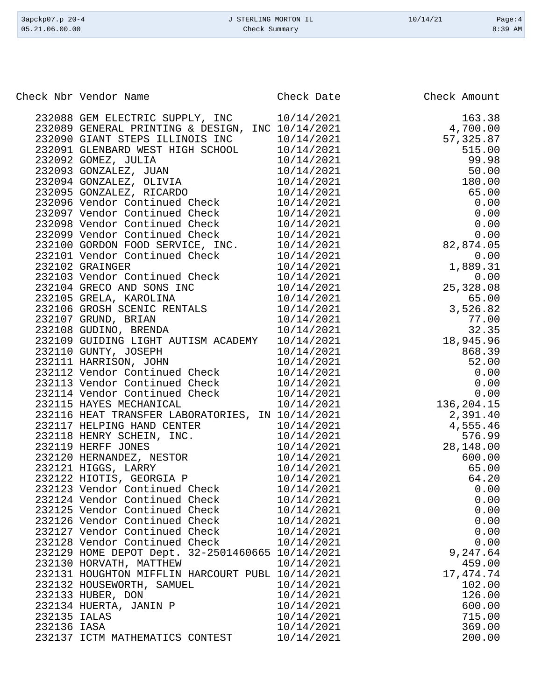|              | Check Nbr Vendor Name                                                                                      | Check Date | Check Amount                                                                                                                                                                                        |
|--------------|------------------------------------------------------------------------------------------------------------|------------|-----------------------------------------------------------------------------------------------------------------------------------------------------------------------------------------------------|
|              |                                                                                                            |            |                                                                                                                                                                                                     |
|              | 232088 GEM ELECTRIC SUPPLY, INC                                                                            | 10/14/2021 | $\begin{array}{r} 163.38\\ 4,700.00\\ 57,325.87\\ 515.00\\ 99.98\\ 50.00\\ 180.00\\ 65.00\\ 0.00\\ 0.00\\ 0.00\\ 0.00\\ 0.00\\ 0.00\\ 0.00\\ 0.00\\ 0.00\\ 0.00\\ 0.00\\ 0.00\\ 0.00\\ \end{array}$ |
|              | 232089 GENERAL PRINTING & DESIGN, INC 10/14/2021                                                           |            |                                                                                                                                                                                                     |
|              | 232090 GIANT STEPS ILLINOIS INC 10/14/2021                                                                 |            |                                                                                                                                                                                                     |
|              | 232091 GLENBARD WEST HIGH SCHOOL 10/14/2021                                                                |            |                                                                                                                                                                                                     |
|              |                                                                                                            |            |                                                                                                                                                                                                     |
|              |                                                                                                            |            |                                                                                                                                                                                                     |
|              | 232092 GOMEZ, JULIA 10/14/2021<br>232093 GONZALEZ, JUAN 10/14/2021<br>232094 GONZALEZ, OLIVIA 10/14/2021   |            |                                                                                                                                                                                                     |
|              | 232095 GONZALEZ, RICARDO 10/14/2021                                                                        |            |                                                                                                                                                                                                     |
|              | 232096 Vendor Continued Check 10/14/2021                                                                   |            |                                                                                                                                                                                                     |
|              | 232097 Vendor Continued Check 10/14/2021                                                                   |            |                                                                                                                                                                                                     |
|              | 232098 Vendor Continued Check 10/14/2021                                                                   |            |                                                                                                                                                                                                     |
|              | 232099 Vendor Continued Check 10/14/2021                                                                   |            |                                                                                                                                                                                                     |
|              | 232100 GORDON FOOD SERVICE, INC. 10/14/2021                                                                |            |                                                                                                                                                                                                     |
|              | 232101 Vendor Continued Check                                                                              | 10/14/2021 |                                                                                                                                                                                                     |
|              | 232102 GRAINGER                                                                                            | 10/14/2021 |                                                                                                                                                                                                     |
|              |                                                                                                            |            |                                                                                                                                                                                                     |
|              | 232103 Vendor Continued Check<br>232104 GRECO AND SONS INC 10/14/2021<br>232105 GRELA, KAROLINA 10/14/2021 |            | $1,889.31$<br>$1,889.31$<br>$25,328.08$                                                                                                                                                             |
|              |                                                                                                            |            | $\begin{array}{r} 65.00 \\ 3,526.82 \\ 77.00 \\ 32.35 \\ 18,945.96 \end{array}$                                                                                                                     |
|              | 232106 GROSH SCENIC RENTALS 10/14/2021                                                                     |            |                                                                                                                                                                                                     |
|              | 232107 GRUND, BRIAN                                                                                        | 10/14/2021 |                                                                                                                                                                                                     |
|              | 232108 GUDINO, BRENDA 10/14/2021                                                                           |            |                                                                                                                                                                                                     |
|              | 232109 GUIDING LIGHT AUTISM ACADEMY 10/14/2021                                                             |            |                                                                                                                                                                                                     |
|              | $10/14/2021$<br>$10/14/2021$<br>232110 GUNTY, JOSEPH                                                       |            | 868.39                                                                                                                                                                                              |
|              | 232111 HARRISON, JOHN                                                                                      |            | 52.00                                                                                                                                                                                               |
|              | 232112 Vendor Continued Check 10/14/2021                                                                   |            | 0.00                                                                                                                                                                                                |
|              | 232113 Vendor Continued Check 10/14/2021                                                                   |            | 0.00                                                                                                                                                                                                |
|              | 232114 Vendor Continued Check 10/14/2021<br>232115 HAYES MECHANICAL 10/14/2021                             |            | 0.00                                                                                                                                                                                                |
|              |                                                                                                            |            | 136, 204. 15                                                                                                                                                                                        |
|              | 232116 HEAT TRANSFER LABORATORIES, IN 10/14/2021                                                           |            | 2,391.40                                                                                                                                                                                            |
|              | 232117 HELPING HAND CENTER                                                                                 | 10/14/2021 | 4,555.46                                                                                                                                                                                            |
|              | 232118 HENRY SCHEIN, INC.                                                                                  | 10/14/2021 | 576.99                                                                                                                                                                                              |
|              | 232119 HERFF JONES                                                                                         | 10/14/2021 | 28,148.00                                                                                                                                                                                           |
|              | 232120 HERNANDEZ, NESTOR                                                                                   | 10/14/2021 | 600.00                                                                                                                                                                                              |
|              | 232121 HIGGS, LARRY                                                                                        | 10/14/2021 | 65.00                                                                                                                                                                                               |
|              | 232122 HIOTIS, GEORGIA P                                                                                   | 10/14/2021 | 64.20                                                                                                                                                                                               |
|              | 232123 Vendor Continued Check                                                                              | 10/14/2021 | 0.00                                                                                                                                                                                                |
|              | 232124 Vendor Continued Check                                                                              | 10/14/2021 | 0.00                                                                                                                                                                                                |
|              | 232125 Vendor Continued Check                                                                              | 10/14/2021 | 0.00                                                                                                                                                                                                |
|              | 232126 Vendor Continued Check                                                                              | 10/14/2021 | 0.00                                                                                                                                                                                                |
|              | 232127 Vendor Continued Check                                                                              | 10/14/2021 | 0.00                                                                                                                                                                                                |
|              | 232128 Vendor Continued Check                                                                              | 10/14/2021 | 0.00                                                                                                                                                                                                |
|              | 232129 HOME DEPOT Dept. 32-2501460665 10/14/2021                                                           |            | 9,247.64                                                                                                                                                                                            |
|              | 232130 HORVATH, MATTHEW                                                                                    | 10/14/2021 | 459.00                                                                                                                                                                                              |
|              | 232131 HOUGHTON MIFFLIN HARCOURT PUBL 10/14/2021                                                           |            | 17,474.74                                                                                                                                                                                           |
|              | 232132 HOUSEWORTH, SAMUEL                                                                                  | 10/14/2021 | 102.00                                                                                                                                                                                              |
|              | 232133 HUBER, DON                                                                                          | 10/14/2021 | 126.00                                                                                                                                                                                              |
|              | 232134 HUERTA, JANIN P                                                                                     | 10/14/2021 | 600.00                                                                                                                                                                                              |
| 232135 IALAS |                                                                                                            | 10/14/2021 | 715.00                                                                                                                                                                                              |
| 232136 IASA  |                                                                                                            | 10/14/2021 | 369.00                                                                                                                                                                                              |
|              | 232137 ICTM MATHEMATICS CONTEST                                                                            | 10/14/2021 | 200.00                                                                                                                                                                                              |

3apckp07.p 20-4 <br>
3apckp07.p 20-4 <br>
3apckp07.p 20-4 <br>
3apckp07.p 20-4 <br>
2apckp07.p 20-4 <br>
2apckp07.p 20-4 <br>
2apckp07.p 20-4 <br>
2apckp07.p 20-4 <br>
2apckp07.p 20-4 <br>
2apckp07.p 20-4 <br>
2apckp07.p 20-4 <br>
2apckp07.p 20-4 <br>
2apckp Check Summary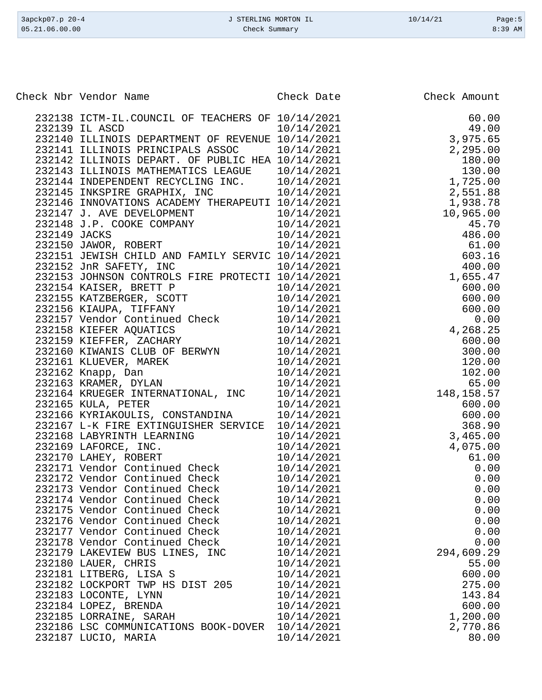| Check Nbr Vendor Name                                                                                                                                                                                                                      | Check Date                                                               | Check Amount    |
|--------------------------------------------------------------------------------------------------------------------------------------------------------------------------------------------------------------------------------------------|--------------------------------------------------------------------------|-----------------|
| 232138 ICTM-IL.COUNCIL OF TEACHERS OF 10/14/2021                                                                                                                                                                                           |                                                                          | 60.00           |
| 232139 IL ASCD                                                                                                                                                                                                                             | 10/14/2021                                                               | 49.00           |
|                                                                                                                                                                                                                                            |                                                                          | 3,975.65        |
|                                                                                                                                                                                                                                            |                                                                          |                 |
|                                                                                                                                                                                                                                            |                                                                          |                 |
| 232140 ILLINOIS DEPARTMENT OF REVENUE 10/14/2021 3,975.65<br>232141 ILLINOIS PRINCIPALS ASSOC 10/14/2021 2,295.00<br>232142 ILLINOIS DEPART. OF PUBLIC HEA 10/14/2021 2,295.00<br>232143 ILLINOIS MATHEMATICS LEAGUE 10/14/2021 130.00<br> |                                                                          |                 |
|                                                                                                                                                                                                                                            |                                                                          |                 |
|                                                                                                                                                                                                                                            |                                                                          |                 |
| 232146 INNOVATIONS ACADEMY THERAPEUTI 10/14/2021                                                                                                                                                                                           |                                                                          | 1,938.78        |
|                                                                                                                                                                                                                                            |                                                                          | 10,965.00       |
|                                                                                                                                                                                                                                            |                                                                          | 45.70           |
|                                                                                                                                                                                                                                            |                                                                          | 486.00<br>61.00 |
|                                                                                                                                                                                                                                            |                                                                          | 603.16          |
|                                                                                                                                                                                                                                            |                                                                          | 400.00          |
|                                                                                                                                                                                                                                            |                                                                          | 1,655.47        |
|                                                                                                                                                                                                                                            |                                                                          | 600.00          |
|                                                                                                                                                                                                                                            |                                                                          | 600.00          |
|                                                                                                                                                                                                                                            |                                                                          | 600.00          |
|                                                                                                                                                                                                                                            |                                                                          | 0.00            |
|                                                                                                                                                                                                                                            |                                                                          | 4,268.25        |
|                                                                                                                                                                                                                                            |                                                                          | 600.00          |
|                                                                                                                                                                                                                                            |                                                                          | 300.00          |
|                                                                                                                                                                                                                                            |                                                                          | 120.00          |
|                                                                                                                                                                                                                                            |                                                                          | 102.00          |
|                                                                                                                                                                                                                                            |                                                                          |                 |
| 232164 KRUEGER INTERNATIONAL, INC                                                                                                                                                                                                          | $10/14/2021$<br>$10/14/2021$<br>$10/14/2021$<br>$148,158.57$<br>$600.00$ |                 |
| 232165 KULA, PETER                                                                                                                                                                                                                         | $10/14/2021$<br>$10/14/2021$<br>$10/14/2021$<br>$10/14/2021$             |                 |
| 232166 KYRIAKOULIS, CONSTANDINA                                                                                                                                                                                                            |                                                                          | 600.00          |
| 232167 L-K FIRE EXTINGUISHER SERVICE                                                                                                                                                                                                       |                                                                          | 368.90          |
| 232168 LABYRINTH LEARNING                                                                                                                                                                                                                  | 10/14/2021                                                               | 3,465.00        |
| 232169 LAFORCE, INC.                                                                                                                                                                                                                       | 10/14/2021                                                               | 4,075.00        |
| 232170 LAHEY, ROBERT                                                                                                                                                                                                                       | 10/14/2021                                                               | 61.00           |
| 232171 Vendor Continued Check                                                                                                                                                                                                              | 10/14/2021                                                               | 0.00            |
| 232172 Vendor Continued Check                                                                                                                                                                                                              | 10/14/2021                                                               | 0.00            |
| 232173 Vendor Continued Check                                                                                                                                                                                                              | 10/14/2021                                                               | 0.00            |
| 232174 Vendor Continued Check                                                                                                                                                                                                              | 10/14/2021                                                               | 0.00            |
| 232175 Vendor Continued Check                                                                                                                                                                                                              | 10/14/2021                                                               | 0.00            |
| 232176 Vendor Continued Check                                                                                                                                                                                                              | 10/14/2021                                                               | 0.00            |
| 232177 Vendor Continued Check                                                                                                                                                                                                              | 10/14/2021                                                               | 0.00            |
| 232178 Vendor Continued Check                                                                                                                                                                                                              | 10/14/2021                                                               | 0.00            |
| 232179 LAKEVIEW BUS LINES, INC                                                                                                                                                                                                             | 10/14/2021                                                               | 294,609.29      |
| 232180 LAUER, CHRIS<br>232181 LITBERG, LISA S                                                                                                                                                                                              | 10/14/2021<br>10/14/2021                                                 | 55.00<br>600.00 |
| 232182 LOCKPORT TWP HS DIST 205                                                                                                                                                                                                            | 10/14/2021                                                               | 275.00          |
| 232183 LOCONTE, LYNN                                                                                                                                                                                                                       | 10/14/2021                                                               | 143.84          |
| 232184 LOPEZ, BRENDA                                                                                                                                                                                                                       | 10/14/2021                                                               | 600.00          |
| 232185 LORRAINE, SARAH                                                                                                                                                                                                                     | 10/14/2021                                                               | 1,200.00        |
| 232186 LSC COMMUNICATIONS BOOK-DOVER                                                                                                                                                                                                       | 10/14/2021                                                               | 2,770.86        |
| 232187 LUCIO, MARIA                                                                                                                                                                                                                        | 10/14/2021                                                               | 80.00           |
|                                                                                                                                                                                                                                            |                                                                          |                 |

3apckp07.p 20-4 J STERLING MORTON IL 10/14/21 Page:5 Check Summary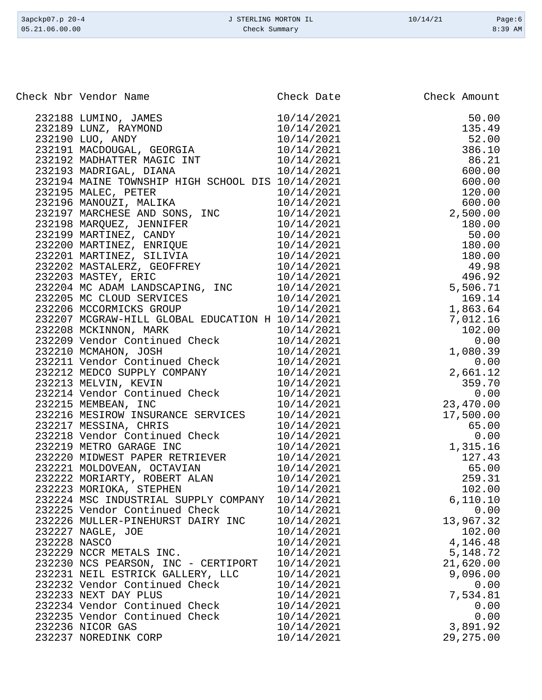| 3apckp07.p 20-4 | J STERLING MORTON IL | 10/14/21 | Page:6    |
|-----------------|----------------------|----------|-----------|
| 05.21.06.00.00  | Check Summary        |          | $8:39$ AM |

| 232188 LUMINO, JAMES<br>232189 LUNZ, RAYMOND<br>232190 LUO, ANDY<br>232191 MACDOUGAL, GEORGIA<br>232192 MADHATTER MAGIC INT<br>232192 MADHATTER MAGIC INT<br>232193 MADRIGAL, DIANA<br>232193 MADRIGAL, DIANA<br>232193 MADRIGAL, DIANA<br>10/14/2021<br>6,110.10<br>232224 MSC INDUSTRIAL SUPPLY COMPANY<br>232225 Vendor Continued Check<br>10/14/2021<br>0.00<br>10/14/2021<br>13,967.32<br>232226 MULLER-PINEHURST DAIRY INC<br>10/14/2021<br>102.00<br>232227 NAGLE, JOE<br>232228 NASCO<br>10/14/2021<br>4,146.48<br>232229 NCCR METALS INC.<br>10/14/2021<br>5,148.72<br>21,620.00<br>232230 NCS PEARSON, INC - CERTIPORT<br>10/14/2021<br>9,096.00<br>232231 NEIL ESTRICK GALLERY, LLC<br>10/14/2021<br>232232 Vendor Continued Check<br>10/14/2021<br>0.00<br>232233 NEXT DAY PLUS<br>10/14/2021<br>7,534.81<br>232234 Vendor Continued Check<br>10/14/2021<br>0.00<br>232235 Vendor Continued Check<br>10/14/2021<br>0.00<br>232236 NICOR GAS<br>10/14/2021<br>3,891.92<br>29, 275.00<br>232237 NOREDINK CORP<br>10/14/2021 | Check Nbr Vendor Name | Check Date | Check Amount |
|---------------------------------------------------------------------------------------------------------------------------------------------------------------------------------------------------------------------------------------------------------------------------------------------------------------------------------------------------------------------------------------------------------------------------------------------------------------------------------------------------------------------------------------------------------------------------------------------------------------------------------------------------------------------------------------------------------------------------------------------------------------------------------------------------------------------------------------------------------------------------------------------------------------------------------------------------------------------------------------------------------------------------------------|-----------------------|------------|--------------|
|                                                                                                                                                                                                                                                                                                                                                                                                                                                                                                                                                                                                                                                                                                                                                                                                                                                                                                                                                                                                                                       |                       |            |              |
|                                                                                                                                                                                                                                                                                                                                                                                                                                                                                                                                                                                                                                                                                                                                                                                                                                                                                                                                                                                                                                       |                       |            |              |
|                                                                                                                                                                                                                                                                                                                                                                                                                                                                                                                                                                                                                                                                                                                                                                                                                                                                                                                                                                                                                                       |                       |            |              |
|                                                                                                                                                                                                                                                                                                                                                                                                                                                                                                                                                                                                                                                                                                                                                                                                                                                                                                                                                                                                                                       |                       |            |              |
|                                                                                                                                                                                                                                                                                                                                                                                                                                                                                                                                                                                                                                                                                                                                                                                                                                                                                                                                                                                                                                       |                       |            |              |
|                                                                                                                                                                                                                                                                                                                                                                                                                                                                                                                                                                                                                                                                                                                                                                                                                                                                                                                                                                                                                                       |                       |            |              |
|                                                                                                                                                                                                                                                                                                                                                                                                                                                                                                                                                                                                                                                                                                                                                                                                                                                                                                                                                                                                                                       |                       |            |              |
|                                                                                                                                                                                                                                                                                                                                                                                                                                                                                                                                                                                                                                                                                                                                                                                                                                                                                                                                                                                                                                       |                       |            |              |
|                                                                                                                                                                                                                                                                                                                                                                                                                                                                                                                                                                                                                                                                                                                                                                                                                                                                                                                                                                                                                                       |                       |            |              |
|                                                                                                                                                                                                                                                                                                                                                                                                                                                                                                                                                                                                                                                                                                                                                                                                                                                                                                                                                                                                                                       |                       |            |              |
|                                                                                                                                                                                                                                                                                                                                                                                                                                                                                                                                                                                                                                                                                                                                                                                                                                                                                                                                                                                                                                       |                       |            |              |
|                                                                                                                                                                                                                                                                                                                                                                                                                                                                                                                                                                                                                                                                                                                                                                                                                                                                                                                                                                                                                                       |                       |            |              |
|                                                                                                                                                                                                                                                                                                                                                                                                                                                                                                                                                                                                                                                                                                                                                                                                                                                                                                                                                                                                                                       |                       |            |              |
|                                                                                                                                                                                                                                                                                                                                                                                                                                                                                                                                                                                                                                                                                                                                                                                                                                                                                                                                                                                                                                       |                       |            |              |
|                                                                                                                                                                                                                                                                                                                                                                                                                                                                                                                                                                                                                                                                                                                                                                                                                                                                                                                                                                                                                                       |                       |            |              |
|                                                                                                                                                                                                                                                                                                                                                                                                                                                                                                                                                                                                                                                                                                                                                                                                                                                                                                                                                                                                                                       |                       |            |              |
|                                                                                                                                                                                                                                                                                                                                                                                                                                                                                                                                                                                                                                                                                                                                                                                                                                                                                                                                                                                                                                       |                       |            |              |
|                                                                                                                                                                                                                                                                                                                                                                                                                                                                                                                                                                                                                                                                                                                                                                                                                                                                                                                                                                                                                                       |                       |            |              |
|                                                                                                                                                                                                                                                                                                                                                                                                                                                                                                                                                                                                                                                                                                                                                                                                                                                                                                                                                                                                                                       |                       |            |              |
|                                                                                                                                                                                                                                                                                                                                                                                                                                                                                                                                                                                                                                                                                                                                                                                                                                                                                                                                                                                                                                       |                       |            |              |
|                                                                                                                                                                                                                                                                                                                                                                                                                                                                                                                                                                                                                                                                                                                                                                                                                                                                                                                                                                                                                                       |                       |            |              |
|                                                                                                                                                                                                                                                                                                                                                                                                                                                                                                                                                                                                                                                                                                                                                                                                                                                                                                                                                                                                                                       |                       |            |              |
|                                                                                                                                                                                                                                                                                                                                                                                                                                                                                                                                                                                                                                                                                                                                                                                                                                                                                                                                                                                                                                       |                       |            |              |
|                                                                                                                                                                                                                                                                                                                                                                                                                                                                                                                                                                                                                                                                                                                                                                                                                                                                                                                                                                                                                                       |                       |            |              |
|                                                                                                                                                                                                                                                                                                                                                                                                                                                                                                                                                                                                                                                                                                                                                                                                                                                                                                                                                                                                                                       |                       |            |              |
|                                                                                                                                                                                                                                                                                                                                                                                                                                                                                                                                                                                                                                                                                                                                                                                                                                                                                                                                                                                                                                       |                       |            |              |
|                                                                                                                                                                                                                                                                                                                                                                                                                                                                                                                                                                                                                                                                                                                                                                                                                                                                                                                                                                                                                                       |                       |            |              |
|                                                                                                                                                                                                                                                                                                                                                                                                                                                                                                                                                                                                                                                                                                                                                                                                                                                                                                                                                                                                                                       |                       |            |              |
|                                                                                                                                                                                                                                                                                                                                                                                                                                                                                                                                                                                                                                                                                                                                                                                                                                                                                                                                                                                                                                       |                       |            |              |
|                                                                                                                                                                                                                                                                                                                                                                                                                                                                                                                                                                                                                                                                                                                                                                                                                                                                                                                                                                                                                                       |                       |            |              |
|                                                                                                                                                                                                                                                                                                                                                                                                                                                                                                                                                                                                                                                                                                                                                                                                                                                                                                                                                                                                                                       |                       |            |              |
|                                                                                                                                                                                                                                                                                                                                                                                                                                                                                                                                                                                                                                                                                                                                                                                                                                                                                                                                                                                                                                       |                       |            |              |
|                                                                                                                                                                                                                                                                                                                                                                                                                                                                                                                                                                                                                                                                                                                                                                                                                                                                                                                                                                                                                                       |                       |            |              |
|                                                                                                                                                                                                                                                                                                                                                                                                                                                                                                                                                                                                                                                                                                                                                                                                                                                                                                                                                                                                                                       |                       |            |              |
|                                                                                                                                                                                                                                                                                                                                                                                                                                                                                                                                                                                                                                                                                                                                                                                                                                                                                                                                                                                                                                       |                       |            |              |
|                                                                                                                                                                                                                                                                                                                                                                                                                                                                                                                                                                                                                                                                                                                                                                                                                                                                                                                                                                                                                                       |                       |            |              |
|                                                                                                                                                                                                                                                                                                                                                                                                                                                                                                                                                                                                                                                                                                                                                                                                                                                                                                                                                                                                                                       |                       |            |              |
|                                                                                                                                                                                                                                                                                                                                                                                                                                                                                                                                                                                                                                                                                                                                                                                                                                                                                                                                                                                                                                       |                       |            |              |
|                                                                                                                                                                                                                                                                                                                                                                                                                                                                                                                                                                                                                                                                                                                                                                                                                                                                                                                                                                                                                                       |                       |            |              |
|                                                                                                                                                                                                                                                                                                                                                                                                                                                                                                                                                                                                                                                                                                                                                                                                                                                                                                                                                                                                                                       |                       |            |              |
|                                                                                                                                                                                                                                                                                                                                                                                                                                                                                                                                                                                                                                                                                                                                                                                                                                                                                                                                                                                                                                       |                       |            |              |
|                                                                                                                                                                                                                                                                                                                                                                                                                                                                                                                                                                                                                                                                                                                                                                                                                                                                                                                                                                                                                                       |                       |            |              |
|                                                                                                                                                                                                                                                                                                                                                                                                                                                                                                                                                                                                                                                                                                                                                                                                                                                                                                                                                                                                                                       |                       |            |              |
|                                                                                                                                                                                                                                                                                                                                                                                                                                                                                                                                                                                                                                                                                                                                                                                                                                                                                                                                                                                                                                       |                       |            |              |
|                                                                                                                                                                                                                                                                                                                                                                                                                                                                                                                                                                                                                                                                                                                                                                                                                                                                                                                                                                                                                                       |                       |            |              |
|                                                                                                                                                                                                                                                                                                                                                                                                                                                                                                                                                                                                                                                                                                                                                                                                                                                                                                                                                                                                                                       |                       |            |              |
|                                                                                                                                                                                                                                                                                                                                                                                                                                                                                                                                                                                                                                                                                                                                                                                                                                                                                                                                                                                                                                       |                       |            |              |
|                                                                                                                                                                                                                                                                                                                                                                                                                                                                                                                                                                                                                                                                                                                                                                                                                                                                                                                                                                                                                                       |                       |            |              |
|                                                                                                                                                                                                                                                                                                                                                                                                                                                                                                                                                                                                                                                                                                                                                                                                                                                                                                                                                                                                                                       |                       |            |              |
|                                                                                                                                                                                                                                                                                                                                                                                                                                                                                                                                                                                                                                                                                                                                                                                                                                                                                                                                                                                                                                       |                       |            |              |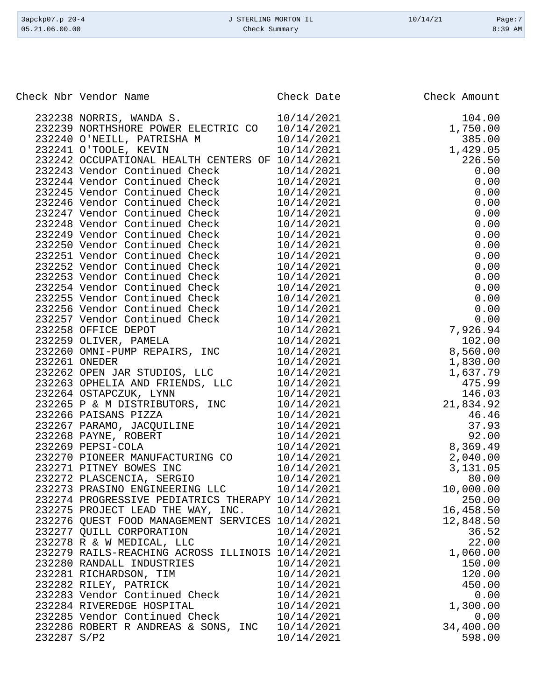| 3apckp07.p 20-4<br>05.21.06.00.00                | J STERLING MORTON IL<br>Check Summary | 10/14/21     | Page:7<br>8:39 AM |
|--------------------------------------------------|---------------------------------------|--------------|-------------------|
|                                                  |                                       |              |                   |
| Check Nbr Vendor Name                            | Check Date                            | Check Amount |                   |
| 232238 NORRIS, WANDA S.                          | 10/14/2021                            |              | 104.00            |
| 232239 NORTHSHORE POWER ELECTRIC CO              | 10/14/2021                            |              | 1,750.00          |
| 232240 O'NEILL, PATRISHA M                       | 10/14/2021                            |              | 385.00            |
| 232241 O'TOOLE, KEVIN                            | 10/14/2021                            |              | 1,429.05          |
| 232242 OCCUPATIONAL HEALTH CENTERS OF 10/14/2021 |                                       |              | 226.50            |
| 232243 Vendor Continued Check                    | 10/14/2021                            |              | 0.00              |
| 232244 Vendor Continued Check                    | 10/14/2021                            |              | 0.00              |
| 232245 Vendor Continued Check                    | 10/14/2021                            |              | 0.00              |
| 232246 Vendor Continued Check                    | 10/14/2021                            |              | 0.00              |
| 232247 Vendor Continued Check                    | 10/14/2021                            |              | 0.00              |
| 232248 Vendor Continued Check                    | 10/14/2021                            |              | 0.00              |
| 232249 Vendor Continued Check                    | 10/14/2021                            |              | 0.00              |
| 232250 Vendor Continued Check                    | 10/14/2021                            |              | 0.00              |
| 232251 Vendor Continued Check                    | 10/14/2021                            |              | 0.00              |
| 232252 Vendor Continued Check                    | 10/14/2021                            |              | 0.00              |
| 232253 Vendor Continued Check                    | 10/14/2021                            |              | 0.00              |
| 232254 Vendor Continued Check                    | 10/14/2021                            |              | 0.00              |
| 232255 Vendor Continued Check                    | 10/14/2021                            |              | 0.00              |
| 232256 Vendor Continued Check                    | 10/14/2021                            |              | 0.00              |
| 232257 Vendor Continued Check                    | 10/14/2021                            |              | n nn              |

|             | 232250 Vendor Continued Check                                                                  | 10/14/2021 | 0.00      |
|-------------|------------------------------------------------------------------------------------------------|------------|-----------|
|             | 232251 Vendor Continued Check                                                                  | 10/14/2021 | 0.00      |
|             | 232252 Vendor Continued Check                                                                  | 10/14/2021 | 0.00      |
|             | 232253 Vendor Continued Check                                                                  | 10/14/2021 | 0.00      |
|             | 232254 Vendor Continued Check                                                                  | 10/14/2021 | 0.00      |
|             | 232255 Vendor Continued Check                                                                  | 10/14/2021 | 0.00      |
|             | 232256 Vendor Continued Check                                                                  | 10/14/2021 | 0.00      |
|             | 232257 Vendor Continued Check                                                                  | 10/14/2021 | 0.00      |
|             | 232258 OFFICE DEPOT                                                                            | 10/14/2021 | 7,926.94  |
|             | 232259 OLIVER, PAMELA<br>232259 OLIVER, PAMELA                                                 | 10/14/2021 | 102.00    |
|             | 232260 OMNI-PUMP REPAIRS, INC                                                                  | 10/14/2021 | 8,560.00  |
|             | 232261 ONEDER                                                                                  | 10/14/2021 | 1,830.00  |
|             | 232262 OPEN JAR STUDIOS, LLC                                                                   | 10/14/2021 | 1,637.79  |
|             | 232263 OPHELIA AND FRIENDS, LLC                                                                | 10/14/2021 | 475.99    |
|             | 232264 OSTAPCZUK, LYNN                                                                         | 10/14/2021 | 146.03    |
|             | 232265 P & M DISTRIBUTORS, INC                                                                 | 10/14/2021 | 21,834.92 |
|             | 232266 PAISANS PIZZA                                                                           | 10/14/2021 | 46.46     |
|             | 232267 PARAMO, JACQUILINE<br>232268 PAYNE, ROBERT<br>232268 PAYNE, ROBERT<br>232269 PEPSI-COLA | 10/14/2021 | 37.93     |
|             |                                                                                                | 10/14/2021 | 92.00     |
|             |                                                                                                | 10/14/2021 | 8,369.49  |
|             | 232270 PIONEER MANUFACTURING CO                                                                | 10/14/2021 | 2,040.00  |
|             | 232271 PITNEY BOWES INC                                                                        | 10/14/2021 | 3,131.05  |
|             | 232272 PLASCENCIA, SERGIO                                                                      | 10/14/2021 | 80.00     |
|             | 232273 PRASINO ENGINEERING LLC                                                                 | 10/14/2021 | 10,000.00 |
|             | 232274 PROGRESSIVE PEDIATRICS THERAPY 10/14/2021                                               |            | 250.00    |
|             | 232275 PROJECT LEAD THE WAY, INC. 10/14/2021                                                   |            | 16,458.50 |
|             | 232276 QUEST FOOD MANAGEMENT SERVICES 10/14/2021                                               |            | 12,848.50 |
|             | 232277 QUILL CORPORATION                                                                       | 10/14/2021 | 36.52     |
|             | 232278 R & W MEDICAL, LLC                                                                      | 10/14/2021 | 22.00     |
|             | 232279 RAILS-REACHING ACROSS ILLINOIS 10/14/2021                                               |            | 1,060.00  |
|             | 232280 RANDALL INDUSTRIES                                                                      | 10/14/2021 | 150.00    |
|             | 232281 RICHARDSON, TIM                                                                         | 10/14/2021 | 120.00    |
|             | 232282 RILEY, PATRICK<br>232283 Vendor Continued Check                                         | 10/14/2021 | 450.00    |
|             |                                                                                                | 10/14/2021 | 0.00      |
|             | 232284 RIVEREDGE HOSPITAL                                                                      | 10/14/2021 | 1,300.00  |
|             | 232285 Vendor Continued Check                                                                  | 10/14/2021 | 0.00      |
|             | 232286 ROBERT R ANDREAS & SONS, INC                                                            | 10/14/2021 | 34,400.00 |
| 232287 S/P2 |                                                                                                | 10/14/2021 | 598.00    |
|             |                                                                                                |            |           |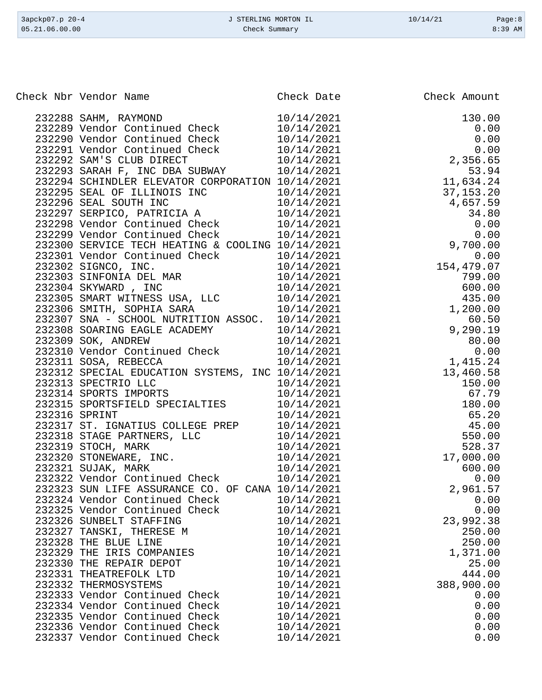| Check Nbr Vendor Name                                                                                                                                                                                                                    | Check Date               | Check Amount         |
|------------------------------------------------------------------------------------------------------------------------------------------------------------------------------------------------------------------------------------------|--------------------------|----------------------|
|                                                                                                                                                                                                                                          |                          |                      |
|                                                                                                                                                                                                                                          |                          | 130.00               |
|                                                                                                                                                                                                                                          | 10/14/2021               | 0.00                 |
|                                                                                                                                                                                                                                          |                          | 0.00                 |
|                                                                                                                                                                                                                                          |                          | 0.00                 |
|                                                                                                                                                                                                                                          |                          | 2, 356.65            |
| 232293 SARAH F, INC DBA SOMMAN<br>232294 SCHINDLER ELEVATOR CORPORATION 10/14/2021<br>232295 SEAL OF ILLINOIS INC 10/14/2021 37,153.20<br>232296 SEAL SOUTH INC 10/14/2021 4,657.59<br>232297 SERPICO, PATRICIA A 10/14/2021 34.80<br>23 |                          |                      |
|                                                                                                                                                                                                                                          |                          |                      |
|                                                                                                                                                                                                                                          |                          |                      |
|                                                                                                                                                                                                                                          |                          |                      |
|                                                                                                                                                                                                                                          |                          |                      |
|                                                                                                                                                                                                                                          |                          |                      |
|                                                                                                                                                                                                                                          |                          |                      |
|                                                                                                                                                                                                                                          |                          |                      |
|                                                                                                                                                                                                                                          |                          |                      |
|                                                                                                                                                                                                                                          |                          | 154,479.07<br>799.00 |
| 232300 SERVICE TECH HEATING & COOLING 10/14/2021<br>232301 Vendor Continued Check 10/14/2021<br>232302 SIGNCO, INC. 10/14/2021<br>232303 SINFONIA DEL MAR 10/14/2021<br>232304 SKYWARD, INC 10/14/2021<br>232305 SMART WITNESS USA, LLC  |                          | 600.00               |
|                                                                                                                                                                                                                                          |                          | 435.00               |
| 232305 SMART WITNESS USA, LLC<br>232306 SMART WITNESS USA, LLC<br>232306 SMITH, SOPHIA SARA                                                                                                                                              |                          | 1,200.00             |
| 232307 SNA - SCHOOL NUTRITION ASSOC. 10/14/2021                                                                                                                                                                                          |                          | 60.50                |
| 232308 SOARING EAGLE ACADEMY 10/14/2021                                                                                                                                                                                                  |                          | 9,290.19             |
| 232309 SOK, ANDREW                                                                                                                                                                                                                       | 10/14/2021               | 80.00                |
| 232310 Vendor Continued Check                                                                                                                                                                                                            | 10/14/2021               | 0.00                 |
| 232311 SOSA, REBECCA                                                                                                                                                                                                                     | 10/14/2021               | 1,415.24             |
| 232312 SPECIAL EDUCATION SYSTEMS, INC 10/14/2021                                                                                                                                                                                         |                          | 13,460.58            |
| 232313 SPECTRIO LLC                                                                                                                                                                                                                      | 10/14/2021               | 150.00               |
| 232314 SPORTS IMPORTS                                                                                                                                                                                                                    | 10/14/2021               | 67.79                |
| 232315 SPORTSFIELD SPECIALTIES                                                                                                                                                                                                           | 10/14/2021<br>10/14/2021 | 180.00               |
| 232316 SPRINT                                                                                                                                                                                                                            | 10/14/2021               | 65.20                |
| 232317 ST. IGNATIUS COLLEGE PREP                                                                                                                                                                                                         | 10/14/2021               | 45.00                |
| 232318 STAGE PARTNERS, LLC                                                                                                                                                                                                               | 10/14/2021               | 550.00               |
| 232319 STOCH, MARK                                                                                                                                                                                                                       | 10/14/2021               | 528.37               |
| 232320 STONEWARE, INC.                                                                                                                                                                                                                   | 10/14/2021               | 17,000.00            |
| 232321 SUJAK, MARK                                                                                                                                                                                                                       | 10/14/2021               | 600.00               |
| 232322 Vendor Continued Check                                                                                                                                                                                                            | 10/14/2021               | 0.00                 |
| 232323 SUN LIFE ASSURANCE CO. OF CANA 10/14/2021                                                                                                                                                                                         |                          | 2,961.57             |
| 232324 Vendor Continued Check                                                                                                                                                                                                            | 10/14/2021               | 0.00                 |
| 232325 Vendor Continued Check                                                                                                                                                                                                            | 10/14/2021               | 0.00                 |
| 232326 SUNBELT STAFFING                                                                                                                                                                                                                  | 10/14/2021               | 23,992.38            |
| 232327 TANSKI, THERESE M                                                                                                                                                                                                                 | 10/14/2021               | 250.00               |
| 232328 THE BLUE LINE                                                                                                                                                                                                                     | 10/14/2021               | 250.00               |
| 232329 THE IRIS COMPANIES                                                                                                                                                                                                                | 10/14/2021               | 1,371.00             |
| 232330 THE REPAIR DEPOT                                                                                                                                                                                                                  | 10/14/2021               | 25.00                |
| 232331 THEATREFOLK LTD                                                                                                                                                                                                                   | 10/14/2021               | 444.00               |
| 232332 THERMOSYSTEMS                                                                                                                                                                                                                     | 10/14/2021               | 388,900.00           |
| 232333 Vendor Continued Check                                                                                                                                                                                                            | 10/14/2021               | 0.00                 |
| 232334 Vendor Continued Check<br>232335 Vendor Continued Check                                                                                                                                                                           | 10/14/2021<br>10/14/2021 | 0.00<br>0.00         |
| 232336 Vendor Continued Check                                                                                                                                                                                                            | 10/14/2021               | 0.00                 |
| 232337 Vendor Continued Check                                                                                                                                                                                                            | 10/14/2021               | 0.00                 |
|                                                                                                                                                                                                                                          |                          |                      |

3apckp07.p 20-4 <br>
3apckp07.p 20-4 <br>
3apckp07.p 20-4 <br>
3apckp07.p 20-4 <br>
3apckp07.p 20-4 <br>
2apckp07.p 20-4 <br>
2apckp07.p 20-4 <br>
2apckp07.p 20-4 <br>
2apckp07.p 20-4 <br>
2apckp07.p 20-4 <br>
2apckp07.p 20-4 <br>
2apckp07.p 20-4 <br>
2apckp Check Summary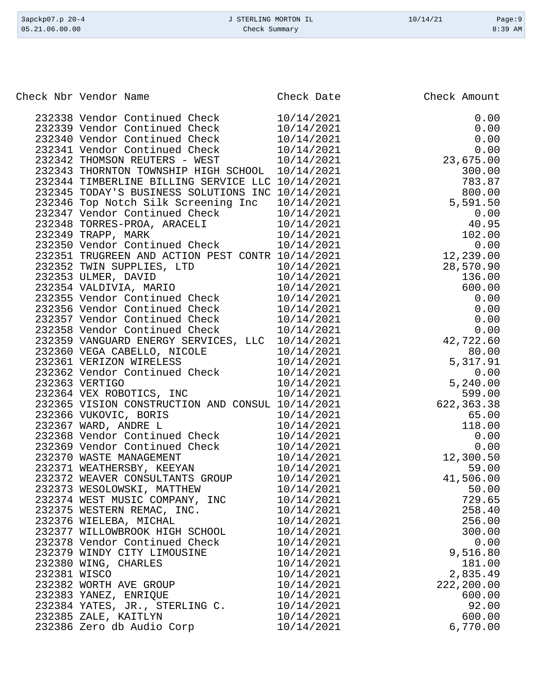| 3apckp07.p 20-4<br>0.5.21.06.00.00 |        | J STERLING MORTON IL<br>Check Summary | 10/14/21   | Page:9<br>8:39 AM |  |
|------------------------------------|--------|---------------------------------------|------------|-------------------|--|
|                                    |        |                                       |            |                   |  |
|                                    |        |                                       |            |                   |  |
|                                    |        | Check Nbr Vendor Name                 | Check Date | Check Amount      |  |
|                                    |        | 232338 Vendor Continued Check         | 10/14/2021 | 0.00              |  |
|                                    |        | 232339 Vendor Continued Check         | 10/14/2021 | 0.00              |  |
|                                    |        | 232340 Vendor Continued Check         | 10/14/2021 | 0.00              |  |
|                                    |        | 232341 Vendor Continued Check         | 10/14/2021 | 0.00              |  |
|                                    | 232342 | THOMSON REUTERS -<br>WEST             | 10/14/2021 | 23,675.00         |  |
|                                    | 232343 | THORNTON TOWNSHIP HIGH SCHOOL         | 10/14/2021 | 300.00            |  |
|                                    | 232344 | TIMBERLINE BILLING SERVICE LLC        | 10/14/2021 | 783.87            |  |
|                                    |        | 232345 TODAY'S BUSINESS SOLUTIONS INC | 10/14/2021 | 800.00            |  |
|                                    |        | 232346 Top Notch Silk Screening Inc   | 10/14/2021 | 5,591.50          |  |
|                                    |        | 232347 Vendor Continued Check         | 10/14/2021 | 0.00              |  |
|                                    |        | 232348 TORRES-PROA, ARACELI           | 10/14/2021 | 40.95             |  |
|                                    |        |                                       |            |                   |  |

|              | 232343 THORNTON TOWNSHIP HIGH SCHOOL                                                                                | 10/14/2021 | 300.00      |
|--------------|---------------------------------------------------------------------------------------------------------------------|------------|-------------|
|              | 232344 TIMBERLINE BILLING SERVICE LLC 10/14/2021                                                                    |            | 783.87      |
|              | 232345 TODAY'S BUSINESS SOLUTIONS INC 10/14/2021                                                                    |            | 800.00      |
|              | 232346 Top Notch Silk Screening Inc 10/14/2021                                                                      |            | 5,591.50    |
|              |                                                                                                                     |            | 0.00        |
|              |                                                                                                                     |            | 40.95       |
|              | 232347 Vendor Continued Check 10/14/2021<br>232348 TORRES-PROA, ARACELI 10/14/2021<br>232349 TRAPP, MARK 10/14/2021 | 10/14/2021 | 102.00      |
|              | 232350 Vendor Continued Check                                                                                       | 10/14/2021 | 0.00        |
|              | 232351 TRUGREEN AND ACTION PEST CONTR 10/14/2021                                                                    |            | 12,239.00   |
|              | 232352 TWIN SUPPLIES, LTD                                                                                           | 10/14/2021 | 28,570.90   |
|              | 232353 ULMER, DAVID                                                                                                 | 10/14/2021 | 136.00      |
|              | 232354 VALDIVIA, MARIO                                                                                              | 10/14/2021 | 600.00      |
|              | 232355 Vendor Continued Check                                                                                       | 10/14/2021 | 0.00        |
|              | 232356 Vendor Continued Check                                                                                       | 10/14/2021 | 0.00        |
|              | 232357 Vendor Continued Check 10/14/2021                                                                            |            | 0.00        |
|              | 232358 Vendor Continued Check 10/14/2021                                                                            |            | 0.00        |
|              | 232359 VANGUARD ENERGY SERVICES, LLC 10/14/2021                                                                     |            | 42,722.60   |
|              |                                                                                                                     | 10/14/2021 | 80.00       |
|              | 232360 VEGA CABELLO, NICOLE<br>232361 VERIZON WIRELESS                                                              | 10/14/2021 | 5,317.91    |
|              | 232362 Vendor Continued Check<br>232363 VERTIGO                                                                     | 10/14/2021 | 0.00        |
|              | 232363 VERTIGO                                                                                                      | 10/14/2021 | 5,240.00    |
|              | 232364 VEX ROBOTICS, INC                                                                                            | 10/14/2021 | 599.00      |
|              | 232365 VISION CONSTRUCTION AND CONSUL 10/14/2021                                                                    |            | 622, 363.38 |
|              |                                                                                                                     | 10/14/2021 | 65.00       |
|              | 232366 VUKOVIC, BORIS<br>232367 WARD, ANDRE L                                                                       | 10/14/2021 | 118.00      |
|              | 232368 Vendor Continued Check                                                                                       | 10/14/2021 | 0.00        |
|              | 232369 Vendor Continued Check<br>232370 WASTE MANAGEMENT                                                            | 10/14/2021 | 0.00        |
|              | 232370 WASTE MANAGEMENT                                                                                             | 10/14/2021 | 12,300.50   |
|              | 232371 WEATHERSBY, KEEYAN                                                                                           | 10/14/2021 | 59.00       |
|              | 232372 WEAVER CONSULTANTS GROUP                                                                                     | 10/14/2021 | 41,506.00   |
|              | 232373 WESOLOWSKI, MATTHEW                                                                                          | 10/14/2021 | 50.00       |
|              | 232374 WEST MUSIC COMPANY, INC                                                                                      | 10/14/2021 | 729.65      |
|              | 232375 WESTERN REMAC, INC.                                                                                          | 10/14/2021 | 258.40      |
|              | 232376 WIELEBA, MICHAL                                                                                              | 10/14/2021 | 256.00      |
|              | 232377 WILLOWBROOK HIGH SCHOOL                                                                                      | 10/14/2021 | 300.00      |
|              | 232378 Vendor Continued Check                                                                                       | 10/14/2021 | 0.00        |
|              | 232379 WINDY CITY LIMOUSINE                                                                                         | 10/14/2021 | 9,516.80    |
|              | 232380 WING, CHARLES                                                                                                | 10/14/2021 | 181.00      |
| 232381 WISCO |                                                                                                                     | 10/14/2021 | 2,835.49    |
|              | 232382 WORTH AVE GROUP                                                                                              | 10/14/2021 | 222,200.00  |
|              | 232383 YANEZ, ENRIQUE                                                                                               | 10/14/2021 | 600.00      |
|              | 232384 YATES, JR., STERLING C.                                                                                      | 10/14/2021 | 92.00       |
|              | 232385 ZALE, KAITLYN                                                                                                | 10/14/2021 | 600.00      |
|              | 232386 Zero db Audio Corp                                                                                           | 10/14/2021 | 6,770.00    |
|              |                                                                                                                     |            |             |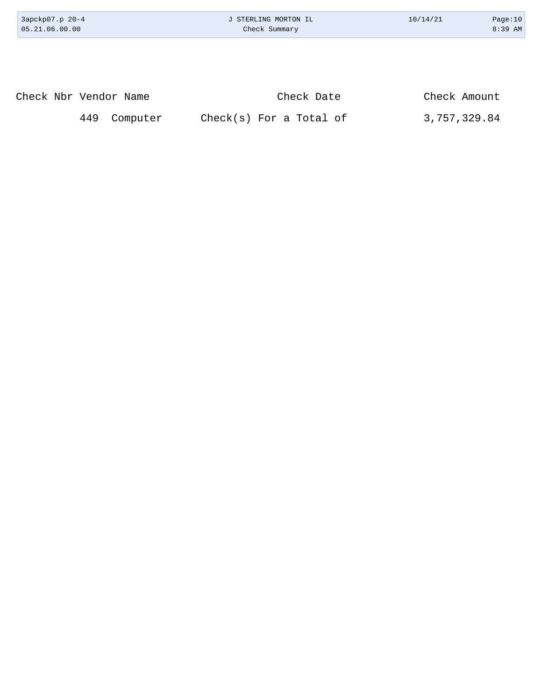| 3apckp07.p 20-4<br>05.21.06.00.00 | J STERLING MORTON IL<br>Check Summary | 10/14/21     | Page:10<br>8:39 AM |
|-----------------------------------|---------------------------------------|--------------|--------------------|
|                                   |                                       |              |                    |
| Check Nbr Vendor Name             | Check Date                            | Check Amount |                    |

449 Computer Check(s) For a Total of 3,757,329.84